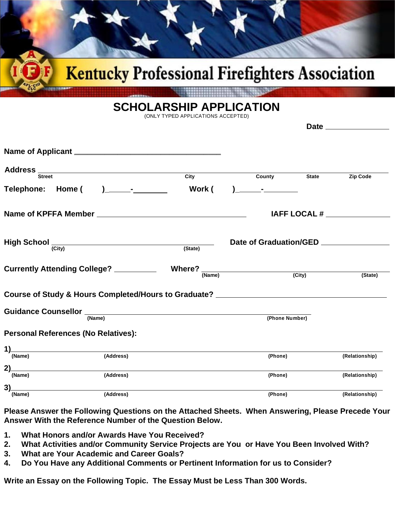

## **SCHOLARSHIP APPLICATION**

(ONLY TYPED APPLICATIONS ACCEPTED)

| Address Street<br>City<br><b>County County</b><br><b>State</b><br>Work (                     |                 |
|----------------------------------------------------------------------------------------------|-----------------|
|                                                                                              |                 |
|                                                                                              | <b>Zip Code</b> |
|                                                                                              |                 |
|                                                                                              |                 |
| Date of Graduation/GED ________________<br>$High School \xrightarrow{\text{(City)}}$ (State) |                 |
| Currently Attending College? _________<br>(City)<br>(Name)                                   | (State)         |
| Course of Study & Hours Completed/Hours to Graduate? ___________________________             |                 |
| (Phone Number)<br>(Name)                                                                     |                 |
| <b>Personal References (No Relatives):</b>                                                   |                 |
| 1)<br>(Address)<br>(Name)<br>(Phone)                                                         | (Relationship)  |
| 2)<br>(Name)<br>(Address)<br>(Phone)                                                         | (Relationship)  |
| 3)<br>(Address)<br>(Phone)<br>(Name)                                                         |                 |

**Please Answer the Following Questions on the Attached Sheets. When Answering, Please Precede Your Answer With the Reference Number of the Question Below.**

- **1. What Honors and/or Awards Have You Received?**
- **2. What Activities and/or Community Service Projects are You or Have You Been Involved With?**
- **3. What are Your Academic and Career Goals?**
- **4. Do You Have any Additional Comments or Pertinent Information for us to Consider?**

**Write an Essay on the Following Topic. The Essay Must be Less Than 300 Words.**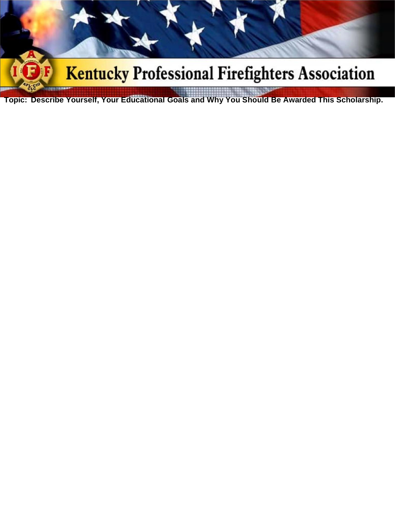

**Topic: Describe Yourself, Your Educational Goals and Why You Should Be Awarded This Scholarship.**